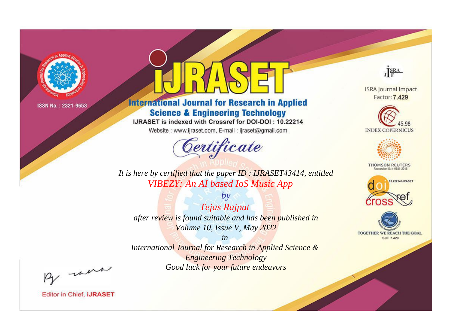

# **International Journal for Research in Applied Science & Engineering Technology**

IJRASET is indexed with Crossref for DOI-DOI: 10.22214

Website: www.ijraset.com, E-mail: ijraset@gmail.com



JERA

**ISRA Journal Impact** Factor: 7.429





**THOMSON REUTERS** 



TOGETHER WE REACH THE GOAL **SJIF 7.429** 

*It is here by certified that the paper ID : IJRASET43414, entitled VIBEZY: An AI based IoS Music App*

*by Tejas Rajput after review is found suitable and has been published in Volume 10, Issue V, May 2022*

*in* 

*International Journal for Research in Applied Science & Engineering Technology Good luck for your future endeavors*

By morn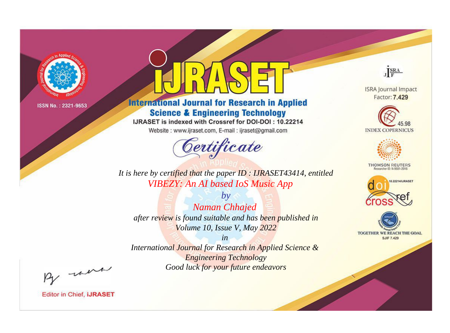

# **International Journal for Research in Applied Science & Engineering Technology**

IJRASET is indexed with Crossref for DOI-DOI: 10.22214

Website: www.ijraset.com, E-mail: ijraset@gmail.com



JERA

**ISRA Journal Impact** Factor: 7.429





**THOMSON REUTERS** 



TOGETHER WE REACH THE GOAL **SJIF 7.429** 

*It is here by certified that the paper ID : IJRASET43414, entitled VIBEZY: An AI based IoS Music App*

*by Naman Chhajed after review is found suitable and has been published in Volume 10, Issue V, May 2022*

*in* 

*International Journal for Research in Applied Science & Engineering Technology Good luck for your future endeavors*

By morn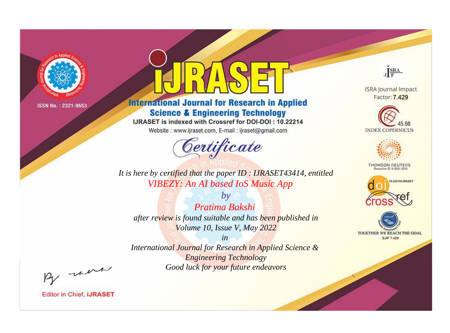

# **International Journal for Research in Applied Science & Engineering Technology**

IJRASET is indexed with Crossref for DOI-DOI: 10.22214

Website: www.ijraset.com, E-mail: ijraset@gmail.com



JERA

**ISRA Journal Impact** Factor: 7.429





**THOMSON REUTERS** 



TOGETHER WE REACH THE GOAL **SJIF 7.429** 

*It is here by certified that the paper ID : IJRASET43414, entitled VIBEZY: An AI based IoS Music App*

*by Pratima Bakshi after review is found suitable and has been published in Volume 10, Issue V, May 2022*

*in* 

*International Journal for Research in Applied Science & Engineering Technology Good luck for your future endeavors*

By morn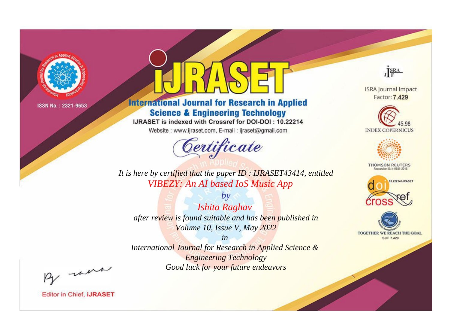

# **International Journal for Research in Applied Science & Engineering Technology**

IJRASET is indexed with Crossref for DOI-DOI: 10.22214

Website: www.ijraset.com, E-mail: ijraset@gmail.com



JERA

**ISRA Journal Impact** Factor: 7.429





**THOMSON REUTERS** 



TOGETHER WE REACH THE GOAL **SJIF 7.429** 

*It is here by certified that the paper ID : IJRASET43414, entitled VIBEZY: An AI based IoS Music App*

*by Ishita Raghav after review is found suitable and has been published in Volume 10, Issue V, May 2022*

*in* 

*International Journal for Research in Applied Science & Engineering Technology Good luck for your future endeavors*

By morn